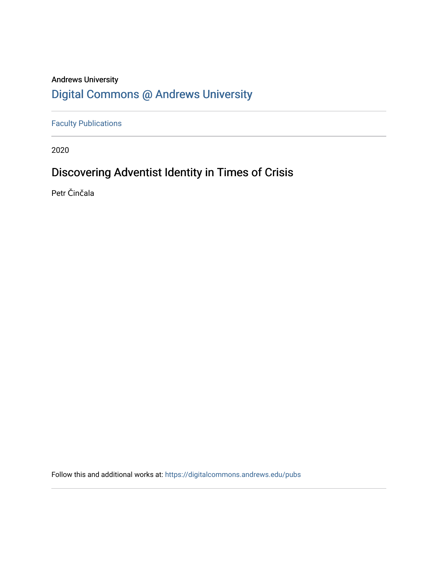## **Andrews University Digital Commons @ Andrews University**

**Faculty Publications** 

2020

## Discovering Adventist Identity in Times of Crisis

Petr Činčala

Follow this and additional works at: https://digitalcommons.andrews.edu/pubs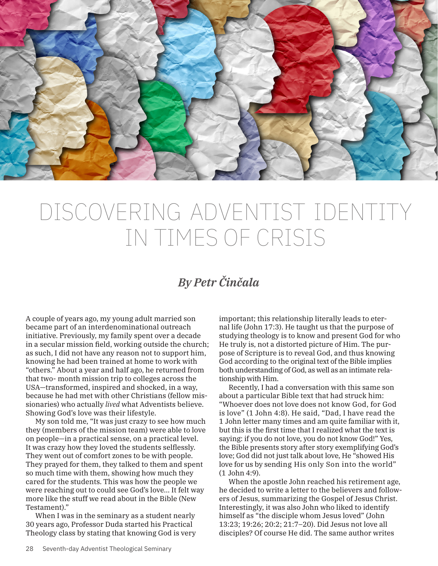

## DISCOVERING ADVENTIST IDENTITY IN TIMES OF CRISIS

## *By Petr Činčala*

A couple of years ago, my young adult married son became part of an interdenominational outreach initiative. Previously, my family spent over a decade in a secular mission field, working outside the church; as such, I did not have any reason not to support him, knowing he had been trained at home to work with "others." About a year and half ago, he returned from that two- month mission trip to colleges across the USA—transformed, inspired and shocked, in a way, because he had met with other Christians (fellow missionaries) who actually *lived* what Adventists believe. Showing God's love was their lifestyle.

My son told me, "It was just crazy to see how much they (members of the mission team) were able to love on people—in a practical sense, on a practical level. It was crazy how they loved the students selflessly. They went out of comfort zones to be with people. They prayed for them, they talked to them and spent so much time with them, showing how much they cared for the students. This was how the people we were reaching out to could see God's love… It felt way more like the stuff we read about in the Bible (New Testament)."

When I was in the seminary as a student nearly 30 years ago, Professor Duda started his Practical Theology class by stating that knowing God is very important; this relationship literally leads to eternal life (John 17:3). He taught us that the purpose of studying theology is to know and present God for who He truly is, not a distorted picture of Him. The purpose of Scripture is to reveal God, and thus knowing God according to the original text of the Bible implies both understanding of God, as well as an intimate relationship with Him.

Recently, I had a conversation with this same son about a particular Bible text that had struck him: "Whoever does not love does not know God, for God is love" (1 John 4:8). He said, "Dad, I have read the 1 John letter many times and am quite familiar with it, but this is the first time that I realized what the text is saying: if you do not love, you do not know God!" Yes, the Bible presents story after story exemplifying God's love; God did not just talk about love, He "showed His love for us by sending His only Son into the world" (1 John 4:9).

When the apostle John reached his retirement age, he decided to write a letter to the believers and followers of Jesus, summarizing the Gospel of Jesus Christ. Interestingly, it was also John who liked to identify himself as "the disciple whom Jesus loved" (John 13:23; 19:26; 20:2; 21:7–20). Did Jesus not love all disciples? Of course He did. The same author writes